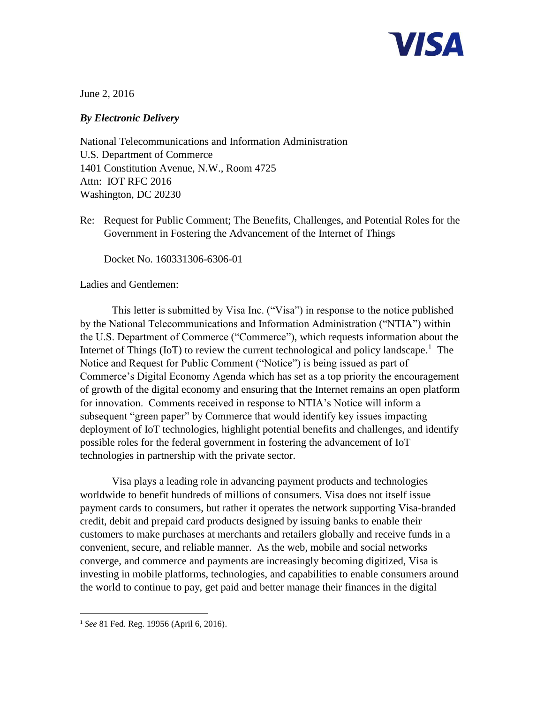

June 2, 2016

# *By Electronic Delivery*

National Telecommunications and Information Administration U.S. Department of Commerce 1401 Constitution Avenue, N.W., Room 4725 Attn: IOT RFC 2016 Washington, DC 20230

Re: Request for Public Comment; The Benefits, Challenges, and Potential Roles for the Government in Fostering the Advancement of the Internet of Things

Docket No. 160331306-6306-01

Ladies and Gentlemen:

This letter is submitted by Visa Inc. ("Visa") in response to the notice published by the National Telecommunications and Information Administration ("NTIA") within the U.S. Department of Commerce ("Commerce"), which requests information about the Internet of Things (IoT) to review the current technological and policy landscape.<sup>1</sup> The Notice and Request for Public Comment ("Notice") is being issued as part of Commerce's Digital Economy Agenda which has set as a top priority the encouragement of growth of the digital economy and ensuring that the Internet remains an open platform for innovation. Comments received in response to NTIA's Notice will inform a subsequent "green paper" by Commerce that would identify key issues impacting deployment of IoT technologies, highlight potential benefits and challenges, and identify possible roles for the federal government in fostering the advancement of IoT technologies in partnership with the private sector.

Visa plays a leading role in advancing payment products and technologies worldwide to benefit hundreds of millions of consumers. Visa does not itself issue payment cards to consumers, but rather it operates the network supporting Visa-branded credit, debit and prepaid card products designed by issuing banks to enable their customers to make purchases at merchants and retailers globally and receive funds in a convenient, secure, and reliable manner. As the web, mobile and social networks converge, and commerce and payments are increasingly becoming digitized, Visa is investing in mobile platforms, technologies, and capabilities to enable consumers around the world to continue to pay, get paid and better manage their finances in the digital

 $\overline{a}$ <sup>1</sup> *See* 81 Fed. Reg. 19956 (April 6, 2016).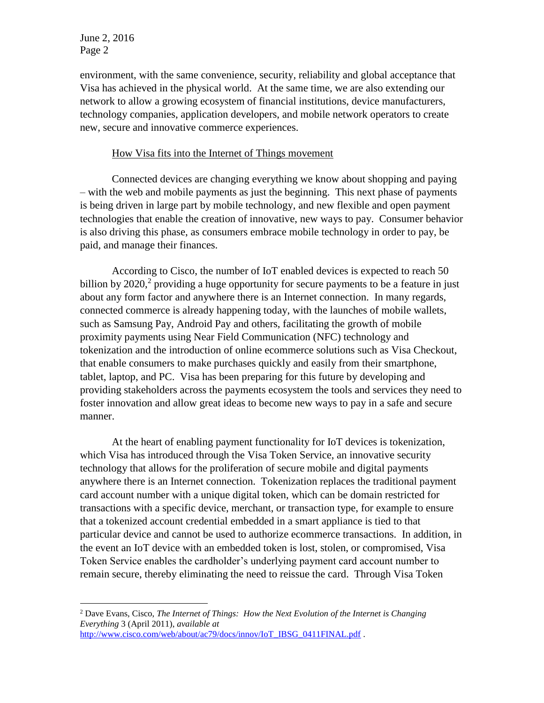$\overline{a}$ 

environment, with the same convenience, security, reliability and global acceptance that Visa has achieved in the physical world. At the same time, we are also extending our network to allow a growing ecosystem of financial institutions, device manufacturers, technology companies, application developers, and mobile network operators to create new, secure and innovative commerce experiences.

## How Visa fits into the Internet of Things movement

Connected devices are changing everything we know about shopping and paying – with the web and mobile payments as just the beginning. This next phase of payments is being driven in large part by mobile technology, and new flexible and open payment technologies that enable the creation of innovative, new ways to pay. Consumer behavior is also driving this phase, as consumers embrace mobile technology in order to pay, be paid, and manage their finances.

According to Cisco, the number of IoT enabled devices is expected to reach 50 billion by 2020,<sup>2</sup> providing a huge opportunity for secure payments to be a feature in just about any form factor and anywhere there is an Internet connection. In many regards, connected commerce is already happening today, with the launches of mobile wallets, such as Samsung Pay, Android Pay and others, facilitating the growth of mobile proximity payments using Near Field Communication (NFC) technology and tokenization and the introduction of online ecommerce solutions such as Visa Checkout, that enable consumers to make purchases quickly and easily from their smartphone, tablet, laptop, and PC. Visa has been preparing for this future by developing and providing stakeholders across the payments ecosystem the tools and services they need to foster innovation and allow great ideas to become new ways to pay in a safe and secure manner.

At the heart of enabling payment functionality for IoT devices is tokenization, which Visa has introduced through the Visa Token Service, an innovative security technology that allows for the proliferation of secure mobile and digital payments anywhere there is an Internet connection. Tokenization replaces the traditional payment card account number with a unique digital token, which can be domain restricted for transactions with a specific device, merchant, or transaction type, for example to ensure that a tokenized account credential embedded in a smart appliance is tied to that particular device and cannot be used to authorize ecommerce transactions. In addition, in the event an IoT device with an embedded token is lost, stolen, or compromised, Visa Token Service enables the cardholder's underlying payment card account number to remain secure, thereby eliminating the need to reissue the card. Through Visa Token

<sup>2</sup> Dave Evans, Cisco, *The Internet of Things: How the Next Evolution of the Internet is Changing Everything* 3 (April 2011), *available at* [http://www.cisco.com/web/about/ac79/docs/innov/IoT\\_IBSG\\_0411FINAL.pdf](http://www.cisco.com/web/about/ac79/docs/innov/IoT_IBSG_0411FINAL.pdf).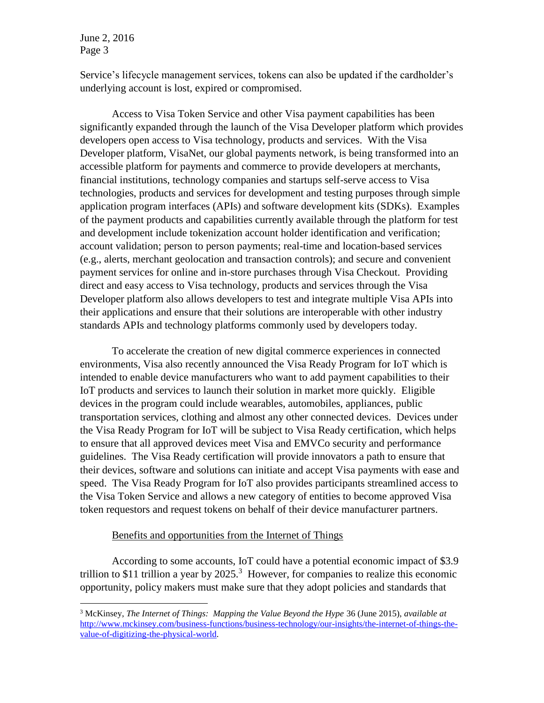Service's lifecycle management services, tokens can also be updated if the cardholder's underlying account is lost, expired or compromised.

Access to Visa Token Service and other Visa payment capabilities has been significantly expanded through the launch of the Visa Developer platform which provides developers open access to Visa technology, products and services. With the Visa Developer platform, VisaNet, our global payments network, is being transformed into an accessible platform for payments and commerce to provide developers at merchants, financial institutions, technology companies and startups self-serve access to Visa technologies, products and services for development and testing purposes through simple application program interfaces (APIs) and software development kits (SDKs). Examples of the payment products and capabilities currently available through the platform for test and development include tokenization account holder identification and verification; account validation; person to person payments; real-time and location-based services (e.g., alerts, merchant geolocation and transaction controls); and secure and convenient payment services for online and in-store purchases through Visa Checkout. Providing direct and easy access to Visa technology, products and services through the Visa Developer platform also allows developers to test and integrate multiple Visa APIs into their applications and ensure that their solutions are interoperable with other industry standards APIs and technology platforms commonly used by developers today.

To accelerate the creation of new digital commerce experiences in connected environments, Visa also recently announced the Visa Ready Program for IoT which is intended to enable device manufacturers who want to add payment capabilities to their IoT products and services to launch their solution in market more quickly. Eligible devices in the program could include wearables, automobiles, appliances, public transportation services, clothing and almost any other connected devices. Devices under the Visa Ready Program for IoT will be subject to Visa Ready certification, which helps to ensure that all approved devices meet Visa and EMVCo security and performance guidelines. The Visa Ready certification will provide innovators a path to ensure that their devices, software and solutions can initiate and accept Visa payments with ease and speed. The Visa Ready Program for IoT also provides participants streamlined access to the Visa Token Service and allows a new category of entities to become approved Visa token requestors and request tokens on behalf of their device manufacturer partners.

#### Benefits and opportunities from the Internet of Things

According to some accounts, IoT could have a potential economic impact of \$3.9 trillion to \$11 trillion a year by  $2025<sup>3</sup>$  However, for companies to realize this economic opportunity, policy makers must make sure that they adopt policies and standards that

 $\overline{a}$ <sup>3</sup> McKinsey, *The Internet of Things: Mapping the Value Beyond the Hype* 36 (June 2015), *available at* [http://www.mckinsey.com/business-functions/business-technology/our-insights/the-internet-of-things-the](http://www.mckinsey.com/business-functions/business-technology/our-insights/the-internet-of-things-the-value-of-digitizing-the-physical-world)[value-of-digitizing-the-physical-world.](http://www.mckinsey.com/business-functions/business-technology/our-insights/the-internet-of-things-the-value-of-digitizing-the-physical-world)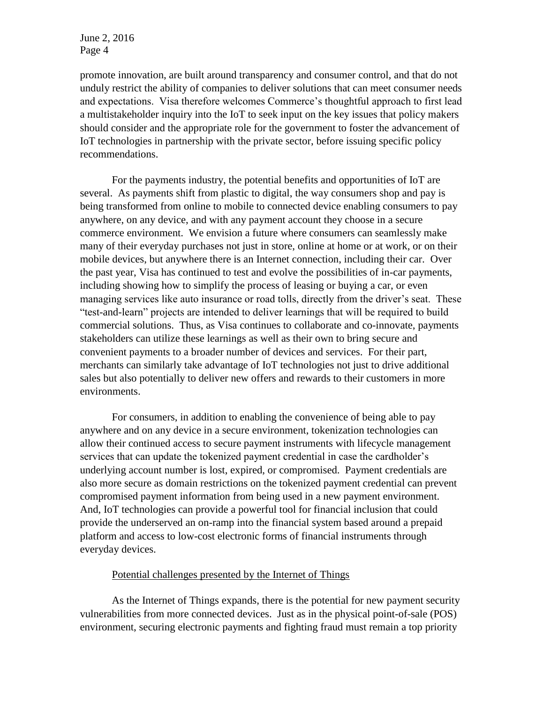promote innovation, are built around transparency and consumer control, and that do not unduly restrict the ability of companies to deliver solutions that can meet consumer needs and expectations. Visa therefore welcomes Commerce's thoughtful approach to first lead a multistakeholder inquiry into the IoT to seek input on the key issues that policy makers should consider and the appropriate role for the government to foster the advancement of IoT technologies in partnership with the private sector, before issuing specific policy recommendations.

For the payments industry, the potential benefits and opportunities of IoT are several. As payments shift from plastic to digital, the way consumers shop and pay is being transformed from online to mobile to connected device enabling consumers to pay anywhere, on any device, and with any payment account they choose in a secure commerce environment. We envision a future where consumers can seamlessly make many of their everyday purchases not just in store, online at home or at work, or on their mobile devices, but anywhere there is an Internet connection, including their car. Over the past year, Visa has continued to test and evolve the possibilities of in-car payments, including showing how to simplify the process of leasing or buying a car, or even managing services like auto insurance or road tolls, directly from the driver's seat. These "test-and-learn" projects are intended to deliver learnings that will be required to build commercial solutions. Thus, as Visa continues to collaborate and co-innovate, payments stakeholders can utilize these learnings as well as their own to bring secure and convenient payments to a broader number of devices and services. For their part, merchants can similarly take advantage of IoT technologies not just to drive additional sales but also potentially to deliver new offers and rewards to their customers in more environments.

For consumers, in addition to enabling the convenience of being able to pay anywhere and on any device in a secure environment, tokenization technologies can allow their continued access to secure payment instruments with lifecycle management services that can update the tokenized payment credential in case the cardholder's underlying account number is lost, expired, or compromised. Payment credentials are also more secure as domain restrictions on the tokenized payment credential can prevent compromised payment information from being used in a new payment environment. And, IoT technologies can provide a powerful tool for financial inclusion that could provide the underserved an on-ramp into the financial system based around a prepaid platform and access to low-cost electronic forms of financial instruments through everyday devices.

#### Potential challenges presented by the Internet of Things

As the Internet of Things expands, there is the potential for new payment security vulnerabilities from more connected devices. Just as in the physical point-of-sale (POS) environment, securing electronic payments and fighting fraud must remain a top priority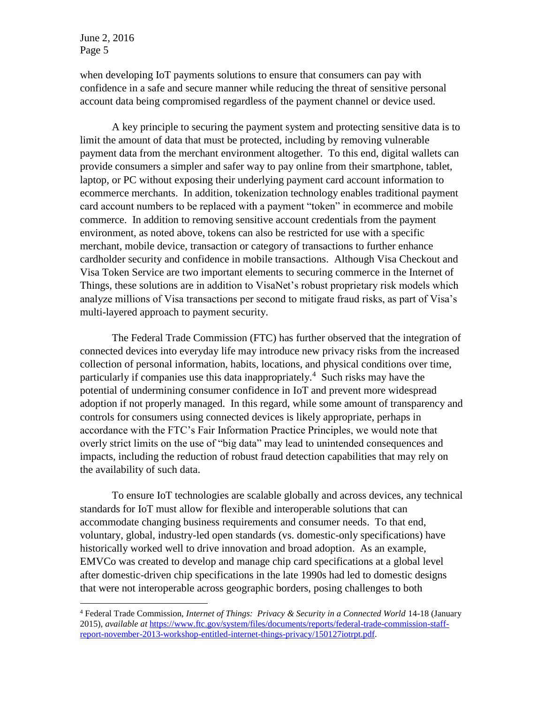$\overline{a}$ 

when developing IoT payments solutions to ensure that consumers can pay with confidence in a safe and secure manner while reducing the threat of sensitive personal account data being compromised regardless of the payment channel or device used.

A key principle to securing the payment system and protecting sensitive data is to limit the amount of data that must be protected, including by removing vulnerable payment data from the merchant environment altogether. To this end, digital wallets can provide consumers a simpler and safer way to pay online from their smartphone, tablet, laptop, or PC without exposing their underlying payment card account information to ecommerce merchants. In addition, tokenization technology enables traditional payment card account numbers to be replaced with a payment "token" in ecommerce and mobile commerce. In addition to removing sensitive account credentials from the payment environment, as noted above, tokens can also be restricted for use with a specific merchant, mobile device, transaction or category of transactions to further enhance cardholder security and confidence in mobile transactions. Although Visa Checkout and Visa Token Service are two important elements to securing commerce in the Internet of Things, these solutions are in addition to VisaNet's robust proprietary risk models which analyze millions of Visa transactions per second to mitigate fraud risks, as part of Visa's multi-layered approach to payment security.

The Federal Trade Commission (FTC) has further observed that the integration of connected devices into everyday life may introduce new privacy risks from the increased collection of personal information, habits, locations, and physical conditions over time, particularly if companies use this data inappropriately.<sup>4</sup> Such risks may have the potential of undermining consumer confidence in IoT and prevent more widespread adoption if not properly managed. In this regard, while some amount of transparency and controls for consumers using connected devices is likely appropriate, perhaps in accordance with the FTC's Fair Information Practice Principles, we would note that overly strict limits on the use of "big data" may lead to unintended consequences and impacts, including the reduction of robust fraud detection capabilities that may rely on the availability of such data.

To ensure IoT technologies are scalable globally and across devices, any technical standards for IoT must allow for flexible and interoperable solutions that can accommodate changing business requirements and consumer needs. To that end, voluntary, global, industry-led open standards (vs. domestic-only specifications) have historically worked well to drive innovation and broad adoption. As an example, EMVCo was created to develop and manage chip card specifications at a global level after domestic-driven chip specifications in the late 1990s had led to domestic designs that were not interoperable across geographic borders, posing challenges to both

<sup>4</sup> Federal Trade Commission, *Internet of Things: Privacy & Security in a Connected World* 14-18 (January 2015), *available at* [https://www.ftc.gov/system/files/documents/reports/federal-trade-commission-staff](https://www.ftc.gov/system/files/documents/reports/federal-trade-commission-staff-report-november-2013-workshop-entitled-internet-things-privacy/150127iotrpt.pdf)[report-november-2013-workshop-entitled-internet-things-privacy/150127iotrpt.pdf.](https://www.ftc.gov/system/files/documents/reports/federal-trade-commission-staff-report-november-2013-workshop-entitled-internet-things-privacy/150127iotrpt.pdf)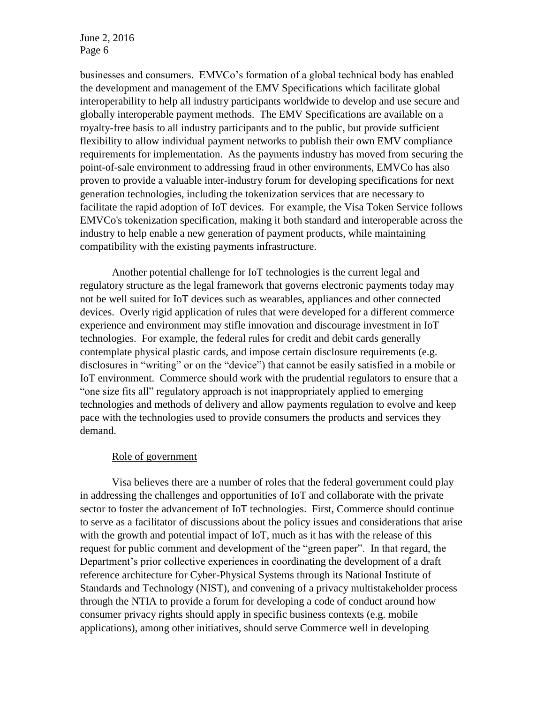businesses and consumers. EMVCo's formation of a global technical body has enabled the development and management of the EMV Specifications which facilitate global interoperability to help all industry participants worldwide to develop and use secure and globally interoperable payment methods. The EMV Specifications are available on a royalty-free basis to all industry participants and to the public, but provide sufficient flexibility to allow individual payment networks to publish their own EMV compliance requirements for implementation. As the payments industry has moved from securing the point-of-sale environment to addressing fraud in other environments, EMVCo has also proven to provide a valuable inter-industry forum for developing specifications for next generation technologies, including the tokenization services that are necessary to facilitate the rapid adoption of IoT devices. For example, the Visa Token Service follows EMVCo's tokenization specification, making it both standard and interoperable across the industry to help enable a new generation of payment products, while maintaining compatibility with the existing payments infrastructure.

Another potential challenge for IoT technologies is the current legal and regulatory structure as the legal framework that governs electronic payments today may not be well suited for IoT devices such as wearables, appliances and other connected devices. Overly rigid application of rules that were developed for a different commerce experience and environment may stifle innovation and discourage investment in IoT technologies. For example, the federal rules for credit and debit cards generally contemplate physical plastic cards, and impose certain disclosure requirements (e.g. disclosures in "writing" or on the "device") that cannot be easily satisfied in a mobile or IoT environment. Commerce should work with the prudential regulators to ensure that a "one size fits all" regulatory approach is not inappropriately applied to emerging technologies and methods of delivery and allow payments regulation to evolve and keep pace with the technologies used to provide consumers the products and services they demand.

## Role of government

Visa believes there are a number of roles that the federal government could play in addressing the challenges and opportunities of IoT and collaborate with the private sector to foster the advancement of IoT technologies. First, Commerce should continue to serve as a facilitator of discussions about the policy issues and considerations that arise with the growth and potential impact of IoT, much as it has with the release of this request for public comment and development of the "green paper". In that regard, the Department's prior collective experiences in coordinating the development of a draft reference architecture for Cyber-Physical Systems through its National Institute of Standards and Technology (NIST), and convening of a privacy multistakeholder process through the NTIA to provide a forum for developing a code of conduct around how consumer privacy rights should apply in specific business contexts (e.g. mobile applications), among other initiatives, should serve Commerce well in developing